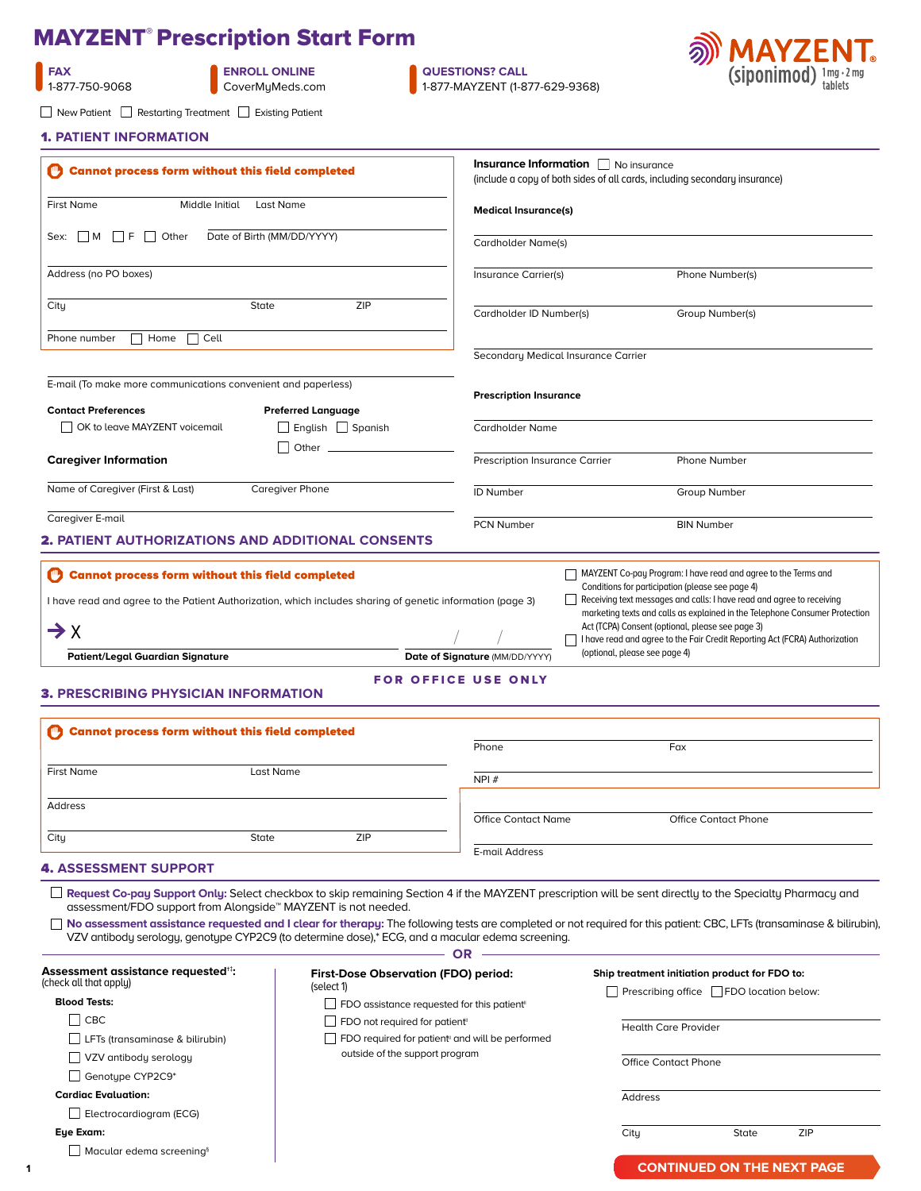# MAYZENT® Prescription Start Form

| FAX            |
|----------------|
| 1-877-750-9068 |

**ENROLL ONLINE** [CoverMyMeds.com](https://account.covermymeds.com/)

 $\Box$  New Patient  $\Box$  Restarting Treatment  $\Box$  Existing Patient

**QUESTIONS? CALL** 1-877-MAYZENT (1-877-629-9368)



|  |  | <b>1. PATIENT INFORMATION</b> |  |
|--|--|-------------------------------|--|
|  |  |                               |  |

| <b>Cannot process form without this field completed</b>                     |                                                                                                            |                                                                 | (include a copy of both sides of all cards, including secondary insurance)                                                                                            |  |
|-----------------------------------------------------------------------------|------------------------------------------------------------------------------------------------------------|-----------------------------------------------------------------|-----------------------------------------------------------------------------------------------------------------------------------------------------------------------|--|
| <b>First Name</b><br>Middle Initial                                         | Last Name                                                                                                  | <b>Medical Insurance(s)</b>                                     |                                                                                                                                                                       |  |
| $\Box$ M $\Box$ F $\Box$ Other<br>Sex:                                      | Date of Birth (MM/DD/YYYY)                                                                                 | Cardholder Name(s)                                              |                                                                                                                                                                       |  |
| Address (no PO boxes)                                                       |                                                                                                            | Insurance Carrier(s)                                            | Phone Number(s)                                                                                                                                                       |  |
| City                                                                        | <b>ZIP</b><br>State                                                                                        | Cardholder ID Number(s)                                         | Group Number(s)                                                                                                                                                       |  |
| $\Box$ Home<br>Phone number<br>Cell                                         |                                                                                                            |                                                                 |                                                                                                                                                                       |  |
|                                                                             |                                                                                                            | Secondary Medical Insurance Carrier                             |                                                                                                                                                                       |  |
| E-mail (To make more communications convenient and paperless)               |                                                                                                            |                                                                 |                                                                                                                                                                       |  |
| <b>Contact Preferences</b>                                                  | <b>Preferred Language</b>                                                                                  | <b>Prescription Insurance</b>                                   |                                                                                                                                                                       |  |
| OK to leave MAYZENT voicemail                                               | $\Box$ English $\Box$ Spanish                                                                              | <b>Cardholder Name</b>                                          |                                                                                                                                                                       |  |
|                                                                             |                                                                                                            |                                                                 |                                                                                                                                                                       |  |
| <b>Caregiver Information</b>                                                | Other $\equiv$                                                                                             | Prescription Insurance Carrier                                  | Phone Number                                                                                                                                                          |  |
| Name of Caregiver (First & Last)                                            | Caregiver Phone                                                                                            | <b>ID Number</b>                                                | Group Number                                                                                                                                                          |  |
| Caregiver E-mail                                                            |                                                                                                            | <b>PCN Number</b>                                               | <b>BIN Number</b>                                                                                                                                                     |  |
|                                                                             | <b>2. PATIENT AUTHORIZATIONS AND ADDITIONAL CONSENTS</b>                                                   |                                                                 |                                                                                                                                                                       |  |
|                                                                             |                                                                                                            |                                                                 |                                                                                                                                                                       |  |
| <b>Cannot process form without this field completed</b>                     |                                                                                                            |                                                                 | MAYZENT Co-pay Program: I have read and agree to the Terms and                                                                                                        |  |
|                                                                             |                                                                                                            |                                                                 | Conditions for participation (please see page 4)                                                                                                                      |  |
|                                                                             | I have read and agree to the Patient Authorization, which includes sharing of genetic information (page 3) |                                                                 | Receiving text messages and calls: I have read and agree to receiving                                                                                                 |  |
|                                                                             |                                                                                                            |                                                                 |                                                                                                                                                                       |  |
|                                                                             |                                                                                                            |                                                                 | marketing texts and calls as explained in the Telephone Consumer Protection                                                                                           |  |
| $\rightarrow$ X                                                             |                                                                                                            |                                                                 | Act (TCPA) Consent (optional, please see page 3)<br>I have read and agree to the Fair Credit Reporting Act (FCRA) Authorization                                       |  |
| <b>Patient/Legal Guardian Signature</b>                                     |                                                                                                            | (optional, please see page 4)<br>Date of Signature (MM/DD/YYYY) |                                                                                                                                                                       |  |
|                                                                             |                                                                                                            |                                                                 |                                                                                                                                                                       |  |
|                                                                             |                                                                                                            | <b>FOR OFFICE USE ONLY</b>                                      |                                                                                                                                                                       |  |
|                                                                             |                                                                                                            |                                                                 |                                                                                                                                                                       |  |
|                                                                             |                                                                                                            |                                                                 |                                                                                                                                                                       |  |
| <b>Cannot process form without this field completed</b>                     |                                                                                                            | Phone                                                           | Fax                                                                                                                                                                   |  |
|                                                                             |                                                                                                            |                                                                 |                                                                                                                                                                       |  |
| <b>First Name</b>                                                           | Last Name                                                                                                  | NPI#                                                            |                                                                                                                                                                       |  |
|                                                                             |                                                                                                            |                                                                 |                                                                                                                                                                       |  |
| Address                                                                     |                                                                                                            |                                                                 |                                                                                                                                                                       |  |
|                                                                             |                                                                                                            | <b>Office Contact Name</b>                                      | <b>Office Contact Phone</b>                                                                                                                                           |  |
| City                                                                        | ZIP<br>State                                                                                               | E-mail Address                                                  |                                                                                                                                                                       |  |
| <b>3. PRESCRIBING PHYSICIAN INFORMATION</b><br><b>4. ASSESSMENT SUPPORT</b> |                                                                                                            |                                                                 |                                                                                                                                                                       |  |
|                                                                             |                                                                                                            |                                                                 |                                                                                                                                                                       |  |
|                                                                             |                                                                                                            |                                                                 | Request Co-pay Support Only: Select checkbox to skip remaining Section 4 if the MAYZENT prescription will be sent directly to the Specialty Pharmacy and              |  |
|                                                                             | assessment/FDO support from Alongside™ MAYZENT is not needed.                                              |                                                                 |                                                                                                                                                                       |  |
|                                                                             | VZV antibody serology, genotype CYP2C9 (to determine dose),* ECG, and a macular edema screening.           |                                                                 |                                                                                                                                                                       |  |
|                                                                             |                                                                                                            | <b>OR</b>                                                       | No assessment assistance requested and I clear for therapy: The following tests are completed or not required for this patient: CBC, LFTs (transaminase & bilirubin), |  |
| Assessment assistance requested <sup>#</sup> :                              |                                                                                                            |                                                                 | Ship treatment initiation product for FDO to:                                                                                                                         |  |
|                                                                             | <b>First-Dose Observation (FDO) period:</b><br>(select 1)                                                  |                                                                 | $\Box$ Prescribing office $\Box$ FDO location below:                                                                                                                  |  |
| (check all that apply)<br><b>Blood Tests:</b>                               | $\Box$ FDO assistance requested for this patient <sup>®</sup>                                              |                                                                 |                                                                                                                                                                       |  |
| $\vert$ CBC                                                                 | FDO not required for patient <sup>®</sup>                                                                  |                                                                 | <b>Health Care Provider</b>                                                                                                                                           |  |
| L LFTs (transaminase & bilirubin)                                           |                                                                                                            | $\Box$ FDO required for patient" and will be performed          |                                                                                                                                                                       |  |
| $\Box$ VZV antibody serology                                                | outside of the support program                                                                             |                                                                 |                                                                                                                                                                       |  |
| $\Box$ Genotype CYP2C9*                                                     |                                                                                                            |                                                                 | <b>Office Contact Phone</b>                                                                                                                                           |  |
| <b>Cardiac Evaluation:</b>                                                  |                                                                                                            |                                                                 |                                                                                                                                                                       |  |
|                                                                             |                                                                                                            |                                                                 | Address                                                                                                                                                               |  |
| $\Box$ Electrocardiogram (ECG)                                              |                                                                                                            |                                                                 |                                                                                                                                                                       |  |
| Eye Exam:<br>$\Box$ Macular edema screening <sup>§</sup>                    |                                                                                                            | City                                                            | ZIP<br>State                                                                                                                                                          |  |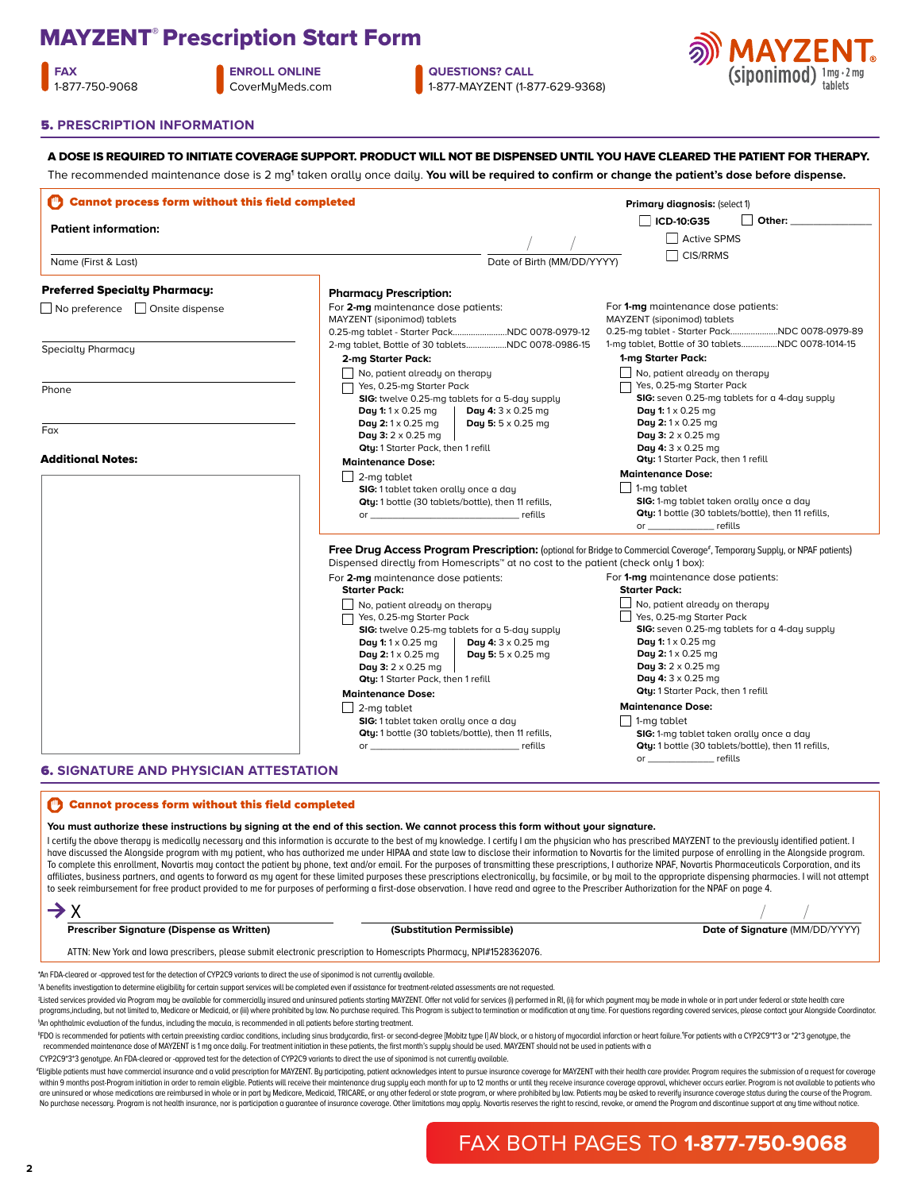# MAYZENT® Prescription Start Form

**FAX** 1-877-750-9068 **ENROLL ONLINE** [CoverMyMeds.com](https://account.covermymeds.com/)

**QUESTIONS? CALL** 1-877-MAYZENT (1-877-629-9368)

A DOSE IS REQUIRED TO INITIATE COVERAGE SUPPORT. PRODUCT WILL NOT BE DISPENSED UNTIL YOU HAVE CLEARED THE PATIENT FOR THERAPY.



#### 5. **PRESCRIPTION INFORMATION**

**Cannot process form without this field completed Prescriber Signature (Dispense as Written) (Substitution Permissible) and Date of Signature** (MM/DD/YYYY) You must authorize these instructions bu signing at the end of this section. We cannot process this form without your signature. I certify the above therapy is medically necessary and this information is accurate to the best of my knowledge. I certify I am the physician who has prescribed MAYZENT to the previously identified patient. I have discussed the Alongside program with my patient, who has authorized me under HIPAA and state law to disclose their information to Novartis for the limited purpose of enrolling in the Alongside program. To complete this enrollment, Novartis may contact the patient by phone, text and/or email. For the purposes of transmitting these prescriptions, I authorize NPAF, Novartis Pharmaceuticals Corporation, and its affiliates, business partners, and agents to forward as my agent for these limited purposes these prescriptions electronically, by facsimile, or by mail to the appropriate dispensing pharmacies. I will not attempt to seek reimbursement for free product provided to me for purposes of performing a first-dose observation. I have read and agree to the Prescriber Authorization for the NPAF on page 4.  $\rightarrow$  X ATTN: New York and Iowa prescribers, please submit electronic prescription to Homescripts Pharmacy, NPI#1528362076. \*An FDA-cleared or -approved test for the detection of CYP2C9 variants to direct the use of siponimod is not currently available. †A benefits investigation to determine eligibility for certain support services will be completed even if assistance for treatment-related assessments are not requested. \*Listed services provided via Program may be available for commercially insured and uninsured patients starting MAYZENT. Offer not valid for services (i) performed in RI, (ii) for which payment may be made in whole or in p programs,including, but not limited to, Medicare or Medicaid, or (iii) where prohibited by law. No purchase required. This Program is subject to termination or modification at any time. For questions regarding covered serv § An ophthalmic evaluation of the fundus, including the macula, is recommended in all patients before starting treatment. "FDO is recommended for patients with certain preexisting cardiac conditions, including sinus bradycardia, first- or second-degree [Mobitz type I] AV block, or a history of myocardial infarction or heart failure. For patie recommended maintenance dose of MAYZENT is 1 mg once daily. For treatment initiation in these patients, the first month's supply should be used. MAYZENT should not be used in patients with a 6. **SIGNATURE AND PHYSICIAN ATTESTATION** / / Cannot process form without this field completed **Patient information:** Name (First & Last) **Date of Birth (MM/DD/YYYY)** Date of Birth (MM/DD/YYYY) / / The recommended maintenance dose is 2 mg<sup>1</sup> taken orally once daily. **You will be required to confirm or change the patient's dose before dispense. Primary diagnosis:** (select 1) **ICD-10:G35** Active SPMS  $\Box$  CIS/RRMS **Pharmacy Prescription:** For **2-mg** maintenance dose patients: MAYZENT (siponimod) tablets 0.25-mg tablet - Starter Pack........................NDC 0078-0979-12 2-mg tablet, Bottle of 30 tablets..  **2-mg Starter Pack:**  No, patient already on therapy Yes, 0.25-mg Starter Pack **SIG:** twelve 0.25-mg tablets for a 5-day supply **Qty:** 1 Starter Pack, then 1 refill  **Maintenance Dose:**   $\Box$  2-mg tablet **SIG:** 1 tablet taken orally once a day **Qty:** 1 bottle (30 tablets/bottle), then 11 refills, or  $\overline{\phantom{a}}$  refills For **1-mg** maintenance dose patients: MAYZENT (siponimod) tablets 0.25-mg tablet - Starter Pack.....................NDC 0078-0979-89 1-mg tablet, Bottle of 30 tablets................NDC 0078-1014-15  **1-mg Starter Pack:** No, patient already on therapy Yes, 0.25-mg Starter Pack **SIG:** seven 0.25-mg tablets for a 4-day supply **Qty:** 1 Starter Pack, then 1 refill  **Maintenance Dose:**  1-mg tablet **SIG:** 1-mg tablet taken orally once a day **Qty:** 1 bottle (30 tablets/bottle), then 11 refills, or \_\_\_\_\_\_\_\_\_\_\_\_ refills **Day 1:** 1 x 0.25 mg **Day 2:** 1 x 0.25 mg **Day 3:** 2 x 0.25 mg **Day 4:** 3 x 0.25 mg **Day 5:** 5 x 0.25 mg **Day 1:** 1 x 0.25 mg **Day 2:** 1 x 0.25 mg **Day 3:** 2 x 0.25 mg **Day 4:** 3 x 0.25 mg Free Drug Access Program Prescription: (optional for Bridge to Commercial Coverage<sup>#</sup>, Temporary Supply, or NPAF patients) Dispensed directly from Homescripts™ at no cost to the patient (check only 1 box): For **2-mg** maintenance dose patients:  **Starter Pack:**  No, patient already on therapy Yes, 0.25-mg Starter Pack **SIG:** twelve 0.25-mg tablets for a 5-day supply **Qty:** 1 Starter Pack, then 1 refill  **Maintenance Dose:**   $\Box$  2-mg tablet **SIG:** 1 tablet taken orally once a day **Qty:** 1 bottle (30 tablets/bottle), then 11 refills, \_ refills **Day 1:** 1 x 0.25 mg **Day 2:** 1 x 0.25 mg **Day 3:** 2 x 0.25 mg **Day 4:** 3 x 0.25 mg **Day 5:** 5 x 0.25 mg For **1-mg** maintenance dose patients:  **Starter Pack:**  $\Box$  No, patient already on therapy Yes, 0.25-mg Starter Pack **SIG:** seven 0.25-mg tablets for a 4-day supply **Qty:** 1 Starter Pack, then 1 refill **Maintenance Dose:**  1-mg tablet **SIG:** 1-mg tablet taken orally once a day **Qty:** 1 bottle (30 tablets/bottle), then 11 refills, or \_\_\_\_\_\_\_\_\_\_\_\_ refills **Day 1:** 1 x 0.25 mg **Day 2:** 1 x 0.25 mg **Day 3:** 2 x 0.25 mg **Day 4:** 3 x 0.25 mg  $\Box$  Other: Preferred Specialty Pharmacy:  $\Box$  No preference  $\Box$  Onsite dispense Specialty Pharmacy **Phone**  $Fax$ Additional Notes:

CYP2C9\*3\*3 genotype. An FDA-cleared or -approved test for the detection of CYP2C9 variants to direct the use of siponimod is not currently available.

\*Eligible patients must have commercial insurance and a valid prescription for MAYZENT. By participating, patient acknowledges intent to pursue insurance coverage for MAYZENT with their health care provider. Program requir within 9 months post-Program initiation in order to remain eligible. Patients will receive their maintenance drug supply each month for up to 12 months or until they receive insurance coverage approval, whichever occurs ea are uninsured or whose medications are reimbursed in whole or in part by Medicare, Medicare, Medicaid, TRICARE, or any other federal or state program, or where prohibited by law. Patients may be asked to reverify insurance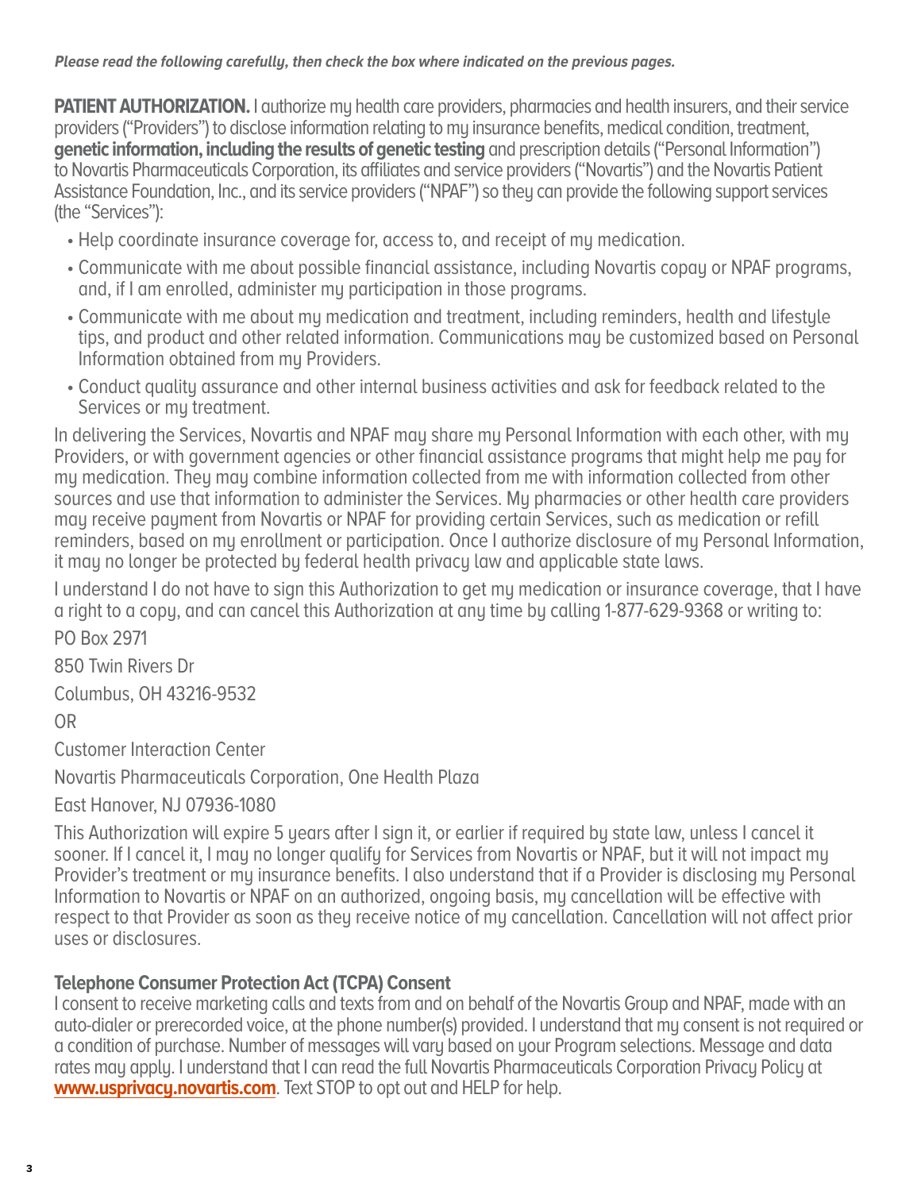## **Please read the following carefully, then check the box where indicated on the previous pages.**

**PATIENT AUTHORIZATION.** I authorize my health care providers, pharmacies and health insurers, and their service providers ("Providers") to disclose information relating to my insurance benefits, medical condition, treatment, **genetic information, including the results of genetic testing** and prescription details ("Personal Information") to Novartis Pharmaceuticals Corporation, its affiliates and service providers ("Novartis") and the Novartis Patient Assistance Foundation, Inc., and its service providers ("NPAF") so they can provide the following support services (the "Services"):

- Help coordinate insurance coverage for, access to, and receipt of my medication.
- Communicate with me about possible financial assistance, including Novartis copay or NPAF programs, and, if I am enrolled, administer my participation in those programs.
- Communicate with me about my medication and treatment, including reminders, health and lifestyle tips, and product and other related information. Communications may be customized based on Personal Information obtained from mu Providers.
- Conduct quality assurance and other internal business activities and ask for feedback related to the Services or my treatment.

In delivering the Services, Novartis and NPAF may share my Personal Information with each other, with my Providers, or with government agencies or other financial assistance programs that might help me pay for my medication. They may combine information collected from me with information collected from other sources and use that information to administer the Services. My pharmacies or other health care providers may receive payment from Novartis or NPAF for providing certain Services, such as medication or refill reminders, based on my enrollment or participation. Once I authorize disclosure of my Personal Information, it may no longer be protected by federal health privacy law and applicable state laws.

I understand I do not have to sign this Authorization to get my medication or insurance coverage, that I have a right to a copy, and can cancel this Authorization at any time by calling 1-877-629-9368 or writing to:

PO Box 2971

850 Twin Rivers Dr

Columbus, OH 43216-9532

OR

Customer Interaction Center

Novartis Pharmaceuticals Corporation, One Health Plaza

East Hanover, NJ 07936-1080

This Authorization will expire 5 years after I sign it, or earlier if required by state law, unless I cancel it sooner. If I cancel it, I may no longer qualify for Services from Novartis or NPAF, but it will not impact my Provider's treatment or my insurance benefits. I also understand that if a Provider is disclosing my Personal Information to Novartis or NPAF on an authorized, ongoing basis, my cancellation will be effective with respect to that Provider as soon as they receive notice of my cancellation. Cancellation will not affect prior uses or disclosures.

# **Telephone Consumer Protection Act (TCPA) Consent**

I consent to receive marketing calls and texts from and on behalf of the Novartis Group and NPAF, made with an auto-dialer or prerecorded voice, at the phone number(s) provided. I understand that my consent is not required or a condition of purchase. Number of messages will vary based on your Program selections. Message and data rates may apply. I understand that I can read the full Novartis Pharmaceuticals Corporation Privacy Policy at **[www.usprivacy.novartis.com](https://www.novartis.us/privacy-policy)**. Text STOP to opt out and HELP for help.